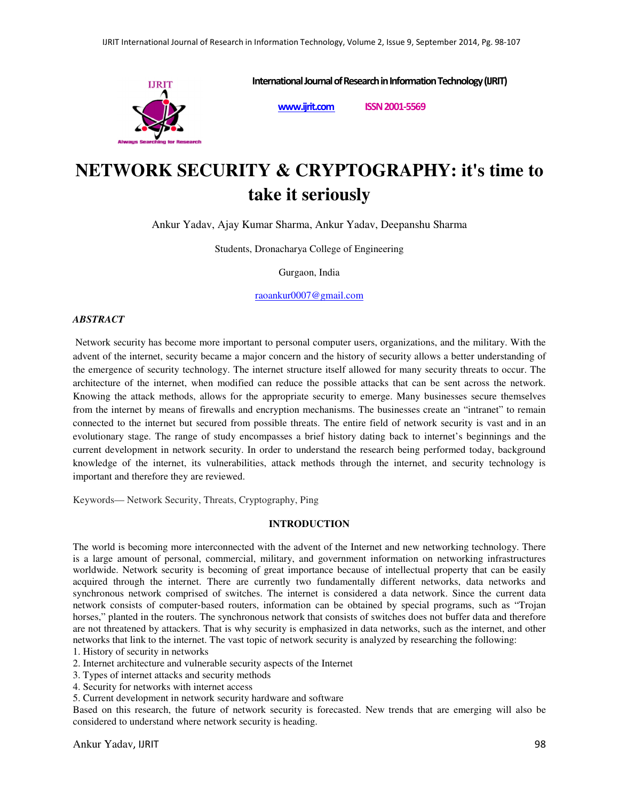

**International Journal of Research in Information Technology (IJRIT)** 

**www.ijrit.com ISSN 2001-5569**

# **NETWORK SECURITY & CRYPTOGRAPHY: it's time to take it seriously**

Ankur Yadav, Ajay Kumar Sharma, Ankur Yadav, Deepanshu Sharma

Students, Dronacharya College of Engineering

Gurgaon, India

raoankur0007@gmail.com

# *ABSTRACT*

 Network security has become more important to personal computer users, organizations, and the military. With the advent of the internet, security became a major concern and the history of security allows a better understanding of the emergence of security technology. The internet structure itself allowed for many security threats to occur. The architecture of the internet, when modified can reduce the possible attacks that can be sent across the network. Knowing the attack methods, allows for the appropriate security to emerge. Many businesses secure themselves from the internet by means of firewalls and encryption mechanisms. The businesses create an "intranet" to remain connected to the internet but secured from possible threats. The entire field of network security is vast and in an evolutionary stage. The range of study encompasses a brief history dating back to internet's beginnings and the current development in network security. In order to understand the research being performed today, background knowledge of the internet, its vulnerabilities, attack methods through the internet, and security technology is important and therefore they are reviewed.

Keywords— Network Security, Threats, Cryptography, Ping

# **INTRODUCTION**

The world is becoming more interconnected with the advent of the Internet and new networking technology. There is a large amount of personal, commercial, military, and government information on networking infrastructures worldwide. Network security is becoming of great importance because of intellectual property that can be easily acquired through the internet. There are currently two fundamentally different networks, data networks and synchronous network comprised of switches. The internet is considered a data network. Since the current data network consists of computer‐based routers, information can be obtained by special programs, such as "Trojan horses," planted in the routers. The synchronous network that consists of switches does not buffer data and therefore are not threatened by attackers. That is why security is emphasized in data networks, such as the internet, and other networks that link to the internet. The vast topic of network security is analyzed by researching the following:

1. History of security in networks

2. Internet architecture and vulnerable security aspects of the Internet

3. Types of internet attacks and security methods

4. Security for networks with internet access

5. Current development in network security hardware and software

Based on this research, the future of network security is forecasted. New trends that are emerging will also be considered to understand where network security is heading.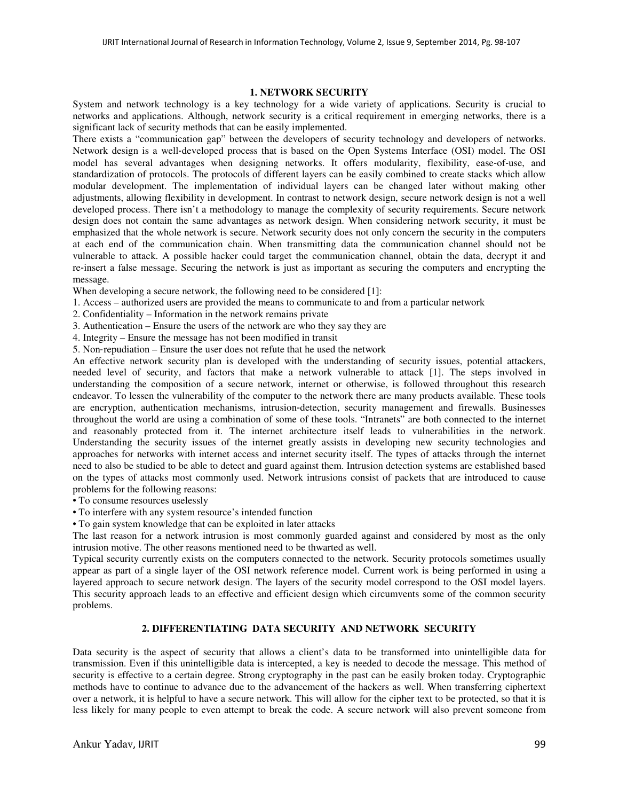#### **1. NETWORK SECURITY**

System and network technology is a key technology for a wide variety of applications. Security is crucial to networks and applications. Although, network security is a critical requirement in emerging networks, there is a significant lack of security methods that can be easily implemented.

There exists a "communication gap" between the developers of security technology and developers of networks. Network design is a well-developed process that is based on the Open Systems Interface (OSI) model. The OSI model has several advantages when designing networks. It offers modularity, flexibility, ease-of-use, and standardization of protocols. The protocols of different layers can be easily combined to create stacks which allow modular development. The implementation of individual layers can be changed later without making other adjustments, allowing flexibility in development. In contrast to network design, secure network design is not a well developed process. There isn't a methodology to manage the complexity of security requirements. Secure network design does not contain the same advantages as network design. When considering network security, it must be emphasized that the whole network is secure. Network security does not only concern the security in the computers at each end of the communication chain. When transmitting data the communication channel should not be vulnerable to attack. A possible hacker could target the communication channel, obtain the data, decrypt it and re‐insert a false message. Securing the network is just as important as securing the computers and encrypting the message.

When developing a secure network, the following need to be considered [1]:

- 1. Access authorized users are provided the means to communicate to and from a particular network
- 2. Confidentiality Information in the network remains private
- 3. Authentication Ensure the users of the network are who they say they are
- 4. Integrity Ensure the message has not been modified in transit
- 5. Non-repudiation Ensure the user does not refute that he used the network

An effective network security plan is developed with the understanding of security issues, potential attackers, needed level of security, and factors that make a network vulnerable to attack [1]. The steps involved in understanding the composition of a secure network, internet or otherwise, is followed throughout this research endeavor. To lessen the vulnerability of the computer to the network there are many products available. These tools are encryption, authentication mechanisms, intrusion‐detection, security management and firewalls. Businesses throughout the world are using a combination of some of these tools. "Intranets" are both connected to the internet and reasonably protected from it. The internet architecture itself leads to vulnerabilities in the network. Understanding the security issues of the internet greatly assists in developing new security technologies and approaches for networks with internet access and internet security itself. The types of attacks through the internet need to also be studied to be able to detect and guard against them. Intrusion detection systems are established based on the types of attacks most commonly used. Network intrusions consist of packets that are introduced to cause problems for the following reasons:

• To consume resources uselessly

- To interfere with any system resource's intended function
- To gain system knowledge that can be exploited in later attacks

The last reason for a network intrusion is most commonly guarded against and considered by most as the only intrusion motive. The other reasons mentioned need to be thwarted as well.

Typical security currently exists on the computers connected to the network. Security protocols sometimes usually appear as part of a single layer of the OSI network reference model. Current work is being performed in using a layered approach to secure network design. The layers of the security model correspond to the OSI model layers. This security approach leads to an effective and efficient design which circumvents some of the common security problems.

# **2. DIFFERENTIATING DATA SECURITY AND NETWORK SECURITY**

Data security is the aspect of security that allows a client's data to be transformed into unintelligible data for transmission. Even if this unintelligible data is intercepted, a key is needed to decode the message. This method of security is effective to a certain degree. Strong cryptography in the past can be easily broken today. Cryptographic methods have to continue to advance due to the advancement of the hackers as well. When transferring ciphertext over a network, it is helpful to have a secure network. This will allow for the cipher text to be protected, so that it is less likely for many people to even attempt to break the code. A secure network will also prevent someone from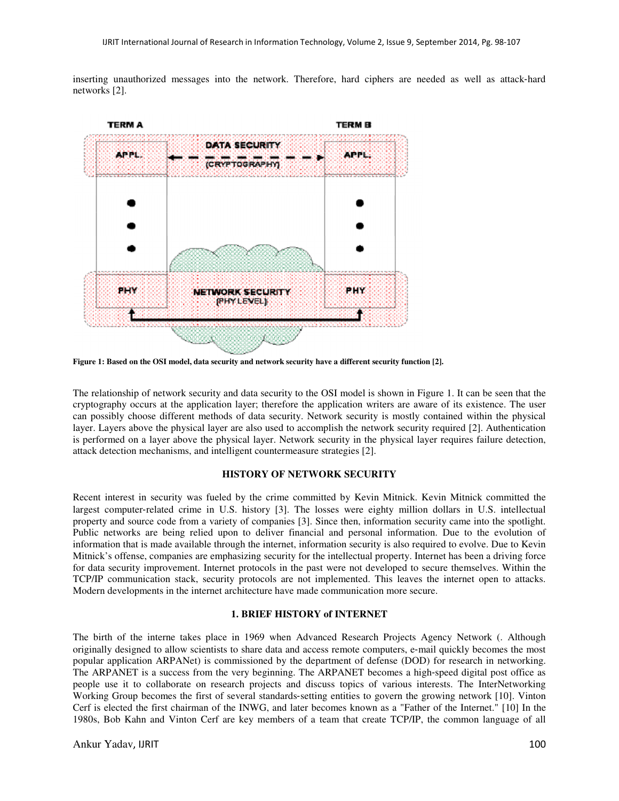inserting unauthorized messages into the network. Therefore, hard ciphers are needed as well as attack-hard networks [2].



**Figure 1: Based on the OSI model, data security and network security have a different security function [2].** 

The relationship of network security and data security to the OSI model is shown in Figure 1. It can be seen that the cryptography occurs at the application layer; therefore the application writers are aware of its existence. The user can possibly choose different methods of data security. Network security is mostly contained within the physical layer. Layers above the physical layer are also used to accomplish the network security required [2]. Authentication is performed on a layer above the physical layer. Network security in the physical layer requires failure detection, attack detection mechanisms, and intelligent countermeasure strategies [2].

#### **HISTORY OF NETWORK SECURITY**

Recent interest in security was fueled by the crime committed by Kevin Mitnick. Kevin Mitnick committed the largest computer‐related crime in U.S. history [3]. The losses were eighty million dollars in U.S. intellectual property and source code from a variety of companies [3]. Since then, information security came into the spotlight. Public networks are being relied upon to deliver financial and personal information. Due to the evolution of information that is made available through the internet, information security is also required to evolve. Due to Kevin Mitnick's offense, companies are emphasizing security for the intellectual property. Internet has been a driving force for data security improvement. Internet protocols in the past were not developed to secure themselves. Within the TCP/IP communication stack, security protocols are not implemented. This leaves the internet open to attacks. Modern developments in the internet architecture have made communication more secure.

#### **1. BRIEF HISTORY of INTERNET**

The birth of the interne takes place in 1969 when Advanced Research Projects Agency Network (. Although originally designed to allow scientists to share data and access remote computers, e‐mail quickly becomes the most popular application ARPANet) is commissioned by the department of defense (DOD) for research in networking. The ARPANET is a success from the very beginning. The ARPANET becomes a high-speed digital post office as people use it to collaborate on research projects and discuss topics of various interests. The InterNetworking Working Group becomes the first of several standards‐setting entities to govern the growing network [10]. Vinton Cerf is elected the first chairman of the INWG, and later becomes known as a "Father of the Internet." [10] In the 1980s, Bob Kahn and Vinton Cerf are key members of a team that create TCP/IP, the common language of all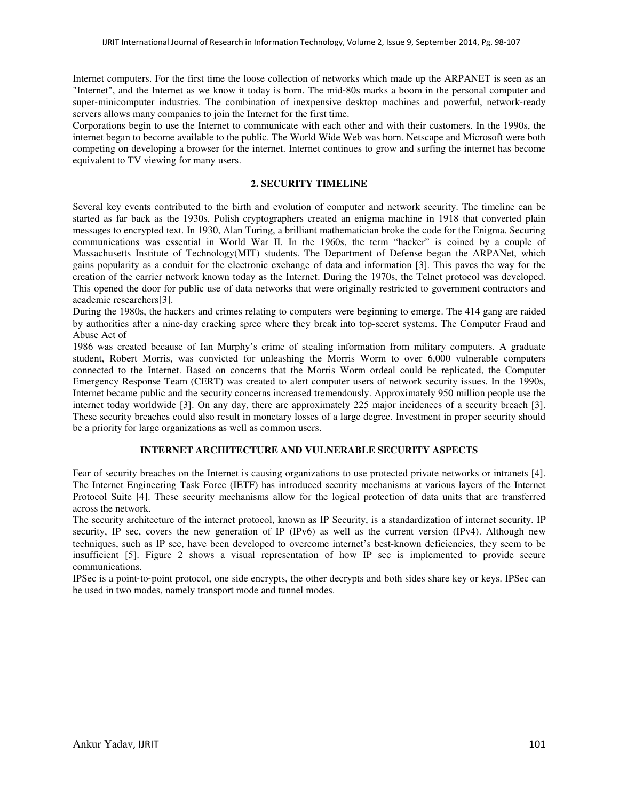Internet computers. For the first time the loose collection of networks which made up the ARPANET is seen as an "Internet", and the Internet as we know it today is born. The mid‐80s marks a boom in the personal computer and super-minicomputer industries. The combination of inexpensive desktop machines and powerful, network-ready servers allows many companies to join the Internet for the first time.

Corporations begin to use the Internet to communicate with each other and with their customers. In the 1990s, the internet began to become available to the public. The World Wide Web was born. Netscape and Microsoft were both competing on developing a browser for the internet. Internet continues to grow and surfing the internet has become equivalent to TV viewing for many users.

## **2. SECURITY TIMELINE**

Several key events contributed to the birth and evolution of computer and network security. The timeline can be started as far back as the 1930s. Polish cryptographers created an enigma machine in 1918 that converted plain messages to encrypted text. In 1930, Alan Turing, a brilliant mathematician broke the code for the Enigma. Securing communications was essential in World War II. In the 1960s, the term "hacker" is coined by a couple of Massachusetts Institute of Technology(MIT) students. The Department of Defense began the ARPANet, which gains popularity as a conduit for the electronic exchange of data and information [3]. This paves the way for the creation of the carrier network known today as the Internet. During the 1970s, the Telnet protocol was developed. This opened the door for public use of data networks that were originally restricted to government contractors and academic researchers[3].

During the 1980s, the hackers and crimes relating to computers were beginning to emerge. The 414 gang are raided by authorities after a nine‐day cracking spree where they break into top‐secret systems. The Computer Fraud and Abuse Act of

1986 was created because of Ian Murphy's crime of stealing information from military computers. A graduate student, Robert Morris, was convicted for unleashing the Morris Worm to over 6,000 vulnerable computers connected to the Internet. Based on concerns that the Morris Worm ordeal could be replicated, the Computer Emergency Response Team (CERT) was created to alert computer users of network security issues. In the 1990s, Internet became public and the security concerns increased tremendously. Approximately 950 million people use the internet today worldwide [3]. On any day, there are approximately 225 major incidences of a security breach [3]. These security breaches could also result in monetary losses of a large degree. Investment in proper security should be a priority for large organizations as well as common users.

# **INTERNET ARCHITECTURE AND VULNERABLE SECURITY ASPECTS**

Fear of security breaches on the Internet is causing organizations to use protected private networks or intranets [4]. The Internet Engineering Task Force (IETF) has introduced security mechanisms at various layers of the Internet Protocol Suite [4]. These security mechanisms allow for the logical protection of data units that are transferred across the network.

The security architecture of the internet protocol, known as IP Security, is a standardization of internet security. IP security, IP sec, covers the new generation of IP (IPv6) as well as the current version (IPv4). Although new techniques, such as IP sec, have been developed to overcome internet's best-known deficiencies, they seem to be insufficient [5]. Figure 2 shows a visual representation of how IP sec is implemented to provide secure communications.

IPSec is a point-to-point protocol, one side encrypts, the other decrypts and both sides share key or keys. IPSec can be used in two modes, namely transport mode and tunnel modes.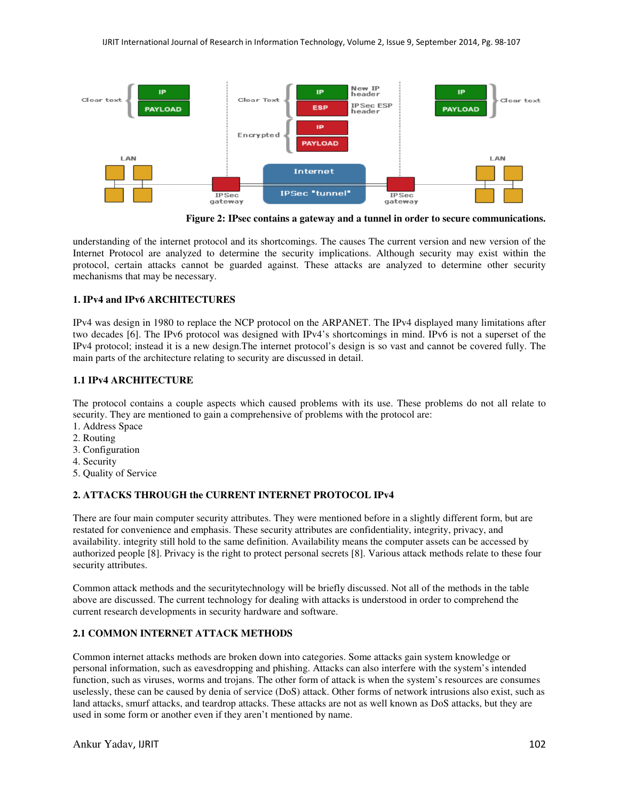

**Figure 2: IPsec contains a gateway and a tunnel in order to secure communications.**

understanding of the internet protocol and its shortcomings. The causes The current version and new version of the Internet Protocol are analyzed to determine the security implications. Although security may exist within the protocol, certain attacks cannot be guarded against. These attacks are analyzed to determine other security mechanisms that may be necessary.

# **1. IPv4 and IPv6 ARCHITECTURES**

IPv4 was design in 1980 to replace the NCP protocol on the ARPANET. The IPv4 displayed many limitations after two decades [6]. The IPv6 protocol was designed with IPv4's shortcomings in mind. IPv6 is not a superset of the IPv4 protocol; instead it is a new design.The internet protocol's design is so vast and cannot be covered fully. The main parts of the architecture relating to security are discussed in detail.

# **1.1 IPv4 ARCHITECTURE**

The protocol contains a couple aspects which caused problems with its use. These problems do not all relate to security. They are mentioned to gain a comprehensive of problems with the protocol are:

- 1. Address Space
- 2. Routing
- 3. Configuration
- 4. Security
- 5. Quality of Service

# **2. ATTACKS THROUGH the CURRENT INTERNET PROTOCOL IPv4**

There are four main computer security attributes. They were mentioned before in a slightly different form, but are restated for convenience and emphasis. These security attributes are confidentiality, integrity, privacy, and availability. integrity still hold to the same definition. Availability means the computer assets can be accessed by authorized people [8]. Privacy is the right to protect personal secrets [8]. Various attack methods relate to these four security attributes.

Common attack methods and the securitytechnology will be briefly discussed. Not all of the methods in the table above are discussed. The current technology for dealing with attacks is understood in order to comprehend the current research developments in security hardware and software.

# **2.1 COMMON INTERNET ATTACK METHODS**

Common internet attacks methods are broken down into categories. Some attacks gain system knowledge or personal information, such as eavesdropping and phishing. Attacks can also interfere with the system's intended function, such as viruses, worms and trojans. The other form of attack is when the system's resources are consumes uselessly, these can be caused by denia of service (DoS) attack. Other forms of network intrusions also exist, such as land attacks, smurf attacks, and teardrop attacks. These attacks are not as well known as DoS attacks, but they are used in some form or another even if they aren't mentioned by name.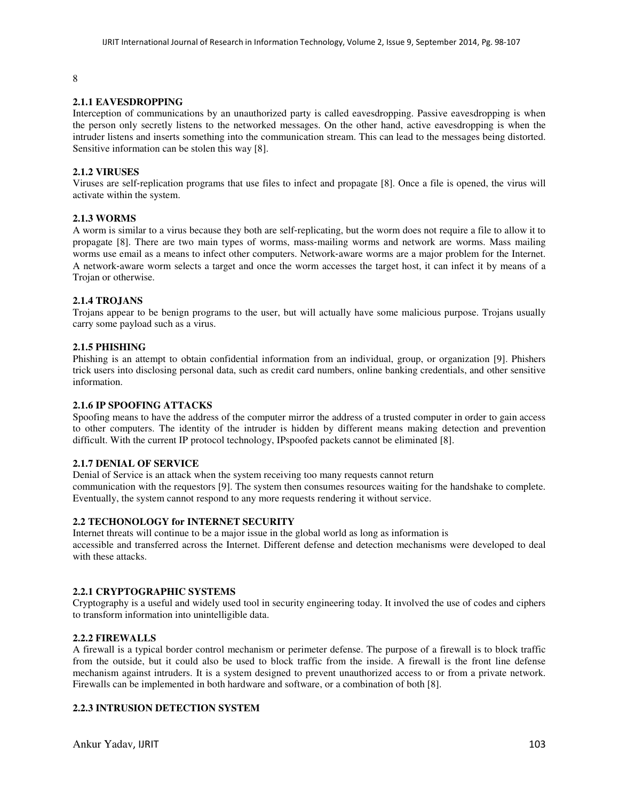#### 8

## **2.1.1 EAVESDROPPING**

Interception of communications by an unauthorized party is called eavesdropping. Passive eavesdropping is when the person only secretly listens to the networked messages. On the other hand, active eavesdropping is when the intruder listens and inserts something into the communication stream. This can lead to the messages being distorted. Sensitive information can be stolen this way [8].

## **2.1.2 VIRUSES**

Viruses are self-replication programs that use files to infect and propagate [8]. Once a file is opened, the virus will activate within the system.

#### **2.1.3 WORMS**

A worm is similar to a virus because they both are self‐replicating, but the worm does not require a file to allow it to propagate [8]. There are two main types of worms, mass-mailing worms and network are worms. Mass mailing worms use email as a means to infect other computers. Network-aware worms are a major problem for the Internet. A network‐aware worm selects a target and once the worm accesses the target host, it can infect it by means of a Trojan or otherwise.

## **2.1.4 TROJANS**

Trojans appear to be benign programs to the user, but will actually have some malicious purpose. Trojans usually carry some payload such as a virus.

#### **2.1.5 PHISHING**

Phishing is an attempt to obtain confidential information from an individual, group, or organization [9]. Phishers trick users into disclosing personal data, such as credit card numbers, online banking credentials, and other sensitive information.

## **2.1.6 IP SPOOFING ATTACKS**

Spoofing means to have the address of the computer mirror the address of a trusted computer in order to gain access to other computers. The identity of the intruder is hidden by different means making detection and prevention difficult. With the current IP protocol technology, IPspoofed packets cannot be eliminated [8].

#### **2.1.7 DENIAL OF SERVICE**

Denial of Service is an attack when the system receiving too many requests cannot return communication with the requestors [9]. The system then consumes resources waiting for the handshake to complete. Eventually, the system cannot respond to any more requests rendering it without service.

#### **2.2 TECHONOLOGY for INTERNET SECURITY**

Internet threats will continue to be a major issue in the global world as long as information is accessible and transferred across the Internet. Different defense and detection mechanisms were developed to deal with these attacks.

## **2.2.1 CRYPTOGRAPHIC SYSTEMS**

Cryptography is a useful and widely used tool in security engineering today. It involved the use of codes and ciphers to transform information into unintelligible data.

#### **2.2.2 FIREWALLS**

A firewall is a typical border control mechanism or perimeter defense. The purpose of a firewall is to block traffic from the outside, but it could also be used to block traffic from the inside. A firewall is the front line defense mechanism against intruders. It is a system designed to prevent unauthorized access to or from a private network. Firewalls can be implemented in both hardware and software, or a combination of both [8].

# **2.2.3 INTRUSION DETECTION SYSTEM**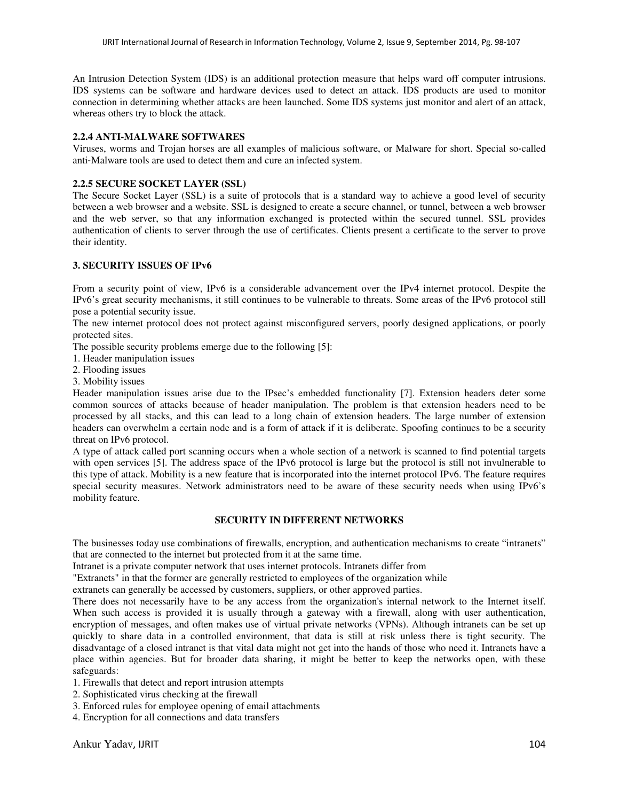An Intrusion Detection System (IDS) is an additional protection measure that helps ward off computer intrusions. IDS systems can be software and hardware devices used to detect an attack. IDS products are used to monitor connection in determining whether attacks are been launched. Some IDS systems just monitor and alert of an attack, whereas others try to block the attack.

## **2.2.4 ANTI-MALWARE SOFTWARES**

Viruses, worms and Trojan horses are all examples of malicious software, or Malware for short. Special so‐called anti‐Malware tools are used to detect them and cure an infected system.

# **2.2.5 SECURE SOCKET LAYER (SSL)**

The Secure Socket Layer (SSL) is a suite of protocols that is a standard way to achieve a good level of security between a web browser and a website. SSL is designed to create a secure channel, or tunnel, between a web browser and the web server, so that any information exchanged is protected within the secured tunnel. SSL provides authentication of clients to server through the use of certificates. Clients present a certificate to the server to prove their identity.

# **3. SECURITY ISSUES OF IPv6**

From a security point of view, IPv6 is a considerable advancement over the IPv4 internet protocol. Despite the IPv6's great security mechanisms, it still continues to be vulnerable to threats. Some areas of the IPv6 protocol still pose a potential security issue.

The new internet protocol does not protect against misconfigured servers, poorly designed applications, or poorly protected sites.

The possible security problems emerge due to the following [5]:

- 1. Header manipulation issues
- 2. Flooding issues
- 3. Mobility issues

Header manipulation issues arise due to the IPsec's embedded functionality [7]. Extension headers deter some common sources of attacks because of header manipulation. The problem is that extension headers need to be processed by all stacks, and this can lead to a long chain of extension headers. The large number of extension headers can overwhelm a certain node and is a form of attack if it is deliberate. Spoofing continues to be a security threat on IPv6 protocol.

A type of attack called port scanning occurs when a whole section of a network is scanned to find potential targets with open services [5]. The address space of the IPv6 protocol is large but the protocol is still not invulnerable to this type of attack. Mobility is a new feature that is incorporated into the internet protocol IPv6. The feature requires special security measures. Network administrators need to be aware of these security needs when using IPv6's mobility feature.

# **SECURITY IN DIFFERENT NETWORKS**

The businesses today use combinations of firewalls, encryption, and authentication mechanisms to create "intranets" that are connected to the internet but protected from it at the same time.

Intranet is a private computer network that uses internet protocols. Intranets differ from

"Extranets" in that the former are generally restricted to employees of the organization while

extranets can generally be accessed by customers, suppliers, or other approved parties.

There does not necessarily have to be any access from the organization's internal network to the Internet itself. When such access is provided it is usually through a gateway with a firewall, along with user authentication, encryption of messages, and often makes use of virtual private networks (VPNs). Although intranets can be set up quickly to share data in a controlled environment, that data is still at risk unless there is tight security. The disadvantage of a closed intranet is that vital data might not get into the hands of those who need it. Intranets have a place within agencies. But for broader data sharing, it might be better to keep the networks open, with these safeguards:

1. Firewalls that detect and report intrusion attempts

- 2. Sophisticated virus checking at the firewall
- 3. Enforced rules for employee opening of email attachments
- 4. Encryption for all connections and data transfers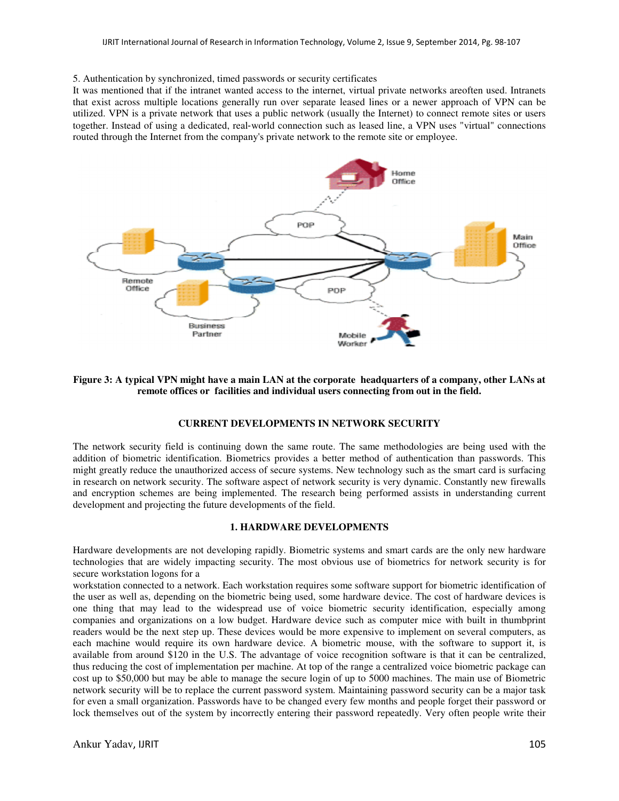#### 5. Authentication by synchronized, timed passwords or security certificates

It was mentioned that if the intranet wanted access to the internet, virtual private networks areoften used. Intranets that exist across multiple locations generally run over separate leased lines or a newer approach of VPN can be utilized. VPN is a private network that uses a public network (usually the Internet) to connect remote sites or users together. Instead of using a dedicated, real‐world connection such as leased line, a VPN uses "virtual" connections routed through the Internet from the company's private network to the remote site or employee.



**Figure 3: A typical VPN might have a main LAN at the corporate headquarters of a company, other LANs at remote offices or facilities and individual users connecting from out in the field.**

#### **CURRENT DEVELOPMENTS IN NETWORK SECURITY**

The network security field is continuing down the same route. The same methodologies are being used with the addition of biometric identification. Biometrics provides a better method of authentication than passwords. This might greatly reduce the unauthorized access of secure systems. New technology such as the smart card is surfacing in research on network security. The software aspect of network security is very dynamic. Constantly new firewalls and encryption schemes are being implemented. The research being performed assists in understanding current development and projecting the future developments of the field.

#### **1. HARDWARE DEVELOPMENTS**

Hardware developments are not developing rapidly. Biometric systems and smart cards are the only new hardware technologies that are widely impacting security. The most obvious use of biometrics for network security is for secure workstation logons for a

workstation connected to a network. Each workstation requires some software support for biometric identification of the user as well as, depending on the biometric being used, some hardware device. The cost of hardware devices is one thing that may lead to the widespread use of voice biometric security identification, especially among companies and organizations on a low budget. Hardware device such as computer mice with built in thumbprint readers would be the next step up. These devices would be more expensive to implement on several computers, as each machine would require its own hardware device. A biometric mouse, with the software to support it, is available from around \$120 in the U.S. The advantage of voice recognition software is that it can be centralized, thus reducing the cost of implementation per machine. At top of the range a centralized voice biometric package can cost up to \$50,000 but may be able to manage the secure login of up to 5000 machines. The main use of Biometric network security will be to replace the current password system. Maintaining password security can be a major task for even a small organization. Passwords have to be changed every few months and people forget their password or lock themselves out of the system by incorrectly entering their password repeatedly. Very often people write their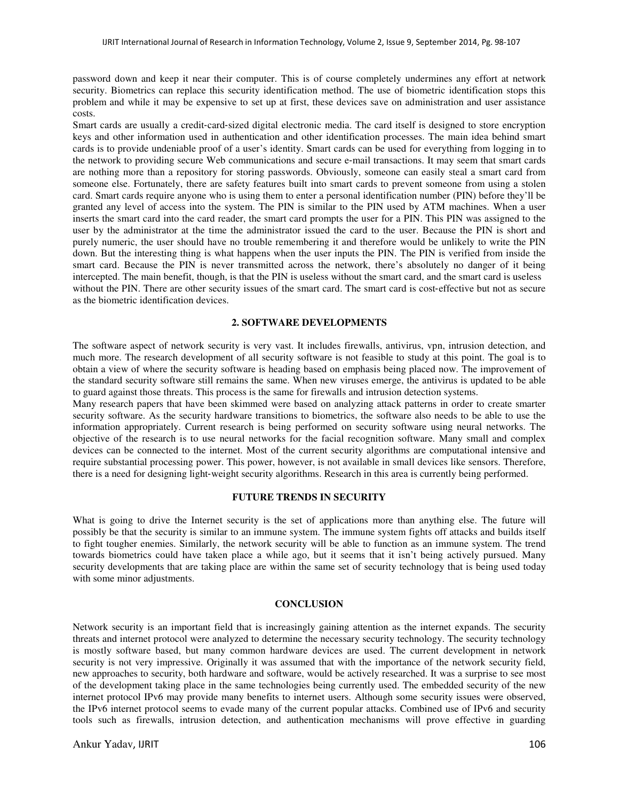password down and keep it near their computer. This is of course completely undermines any effort at network security. Biometrics can replace this security identification method. The use of biometric identification stops this problem and while it may be expensive to set up at first, these devices save on administration and user assistance costs.

Smart cards are usually a credit-card-sized digital electronic media. The card itself is designed to store encryption keys and other information used in authentication and other identification processes. The main idea behind smart cards is to provide undeniable proof of a user's identity. Smart cards can be used for everything from logging in to the network to providing secure Web communications and secure e‐mail transactions. It may seem that smart cards are nothing more than a repository for storing passwords. Obviously, someone can easily steal a smart card from someone else. Fortunately, there are safety features built into smart cards to prevent someone from using a stolen card. Smart cards require anyone who is using them to enter a personal identification number (PIN) before they'll be granted any level of access into the system. The PIN is similar to the PIN used by ATM machines. When a user inserts the smart card into the card reader, the smart card prompts the user for a PIN. This PIN was assigned to the user by the administrator at the time the administrator issued the card to the user. Because the PIN is short and purely numeric, the user should have no trouble remembering it and therefore would be unlikely to write the PIN down. But the interesting thing is what happens when the user inputs the PIN. The PIN is verified from inside the smart card. Because the PIN is never transmitted across the network, there's absolutely no danger of it being intercepted. The main benefit, though, is that the PIN is useless without the smart card, and the smart card is useless without the PIN. There are other security issues of the smart card. The smart card is cost-effective but not as secure as the biometric identification devices.

## **2. SOFTWARE DEVELOPMENTS**

The software aspect of network security is very vast. It includes firewalls, antivirus, vpn, intrusion detection, and much more. The research development of all security software is not feasible to study at this point. The goal is to obtain a view of where the security software is heading based on emphasis being placed now. The improvement of the standard security software still remains the same. When new viruses emerge, the antivirus is updated to be able to guard against those threats. This process is the same for firewalls and intrusion detection systems.

Many research papers that have been skimmed were based on analyzing attack patterns in order to create smarter security software. As the security hardware transitions to biometrics, the software also needs to be able to use the information appropriately. Current research is being performed on security software using neural networks. The objective of the research is to use neural networks for the facial recognition software. Many small and complex devices can be connected to the internet. Most of the current security algorithms are computational intensive and require substantial processing power. This power, however, is not available in small devices like sensors. Therefore, there is a need for designing light-weight security algorithms. Research in this area is currently being performed.

## **FUTURE TRENDS IN SECURITY**

What is going to drive the Internet security is the set of applications more than anything else. The future will possibly be that the security is similar to an immune system. The immune system fights off attacks and builds itself to fight tougher enemies. Similarly, the network security will be able to function as an immune system. The trend towards biometrics could have taken place a while ago, but it seems that it isn't being actively pursued. Many security developments that are taking place are within the same set of security technology that is being used today with some minor adjustments.

#### **CONCLUSION**

Network security is an important field that is increasingly gaining attention as the internet expands. The security threats and internet protocol were analyzed to determine the necessary security technology. The security technology is mostly software based, but many common hardware devices are used. The current development in network security is not very impressive. Originally it was assumed that with the importance of the network security field, new approaches to security, both hardware and software, would be actively researched. It was a surprise to see most of the development taking place in the same technologies being currently used. The embedded security of the new internet protocol IPv6 may provide many benefits to internet users. Although some security issues were observed, the IPv6 internet protocol seems to evade many of the current popular attacks. Combined use of IPv6 and security tools such as firewalls, intrusion detection, and authentication mechanisms will prove effective in guarding